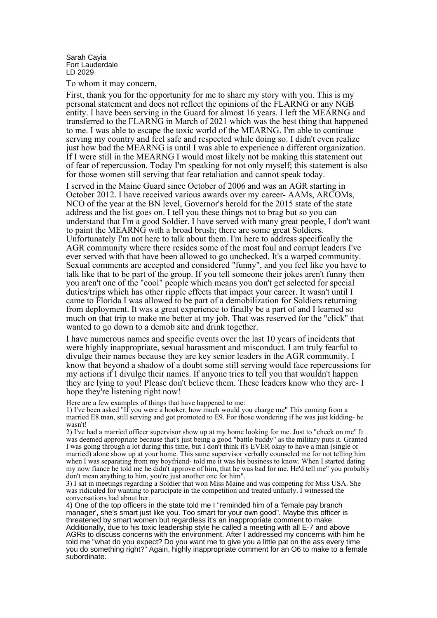Sarah Cayia Fort Lauderdale LD 2029

To whom it may concern,

First, thank you for the opportunity for me to share my story with you. This is my personal statement and does not reflect the opinions of the FLARNG or any NGB entity. I have been serving in the Guard for almost 16 years. I left the MEARNG and transferred to the FLARNG in March of 2021 which was the best thing that happened to me. I was able to escape the toxic world of the MEARNG. I'm able to continue serving my country and feel safe and respected while doing so. I didn't even realize just how bad the MEARNG is until I was able to experience a different organization. If I were still in the MEARNG I would most likely not be making this statement out of fear of repercussion. Today I'm speaking for not only myself; this statement is also for those women still serving that fear retaliation and cannot speak today.

I served in the Maine Guard since October of 2006 and was an AGR starting in October 2012. I have received various awards over my career- AAMs, ARCOMs, NCO of the year at the BN level, Governor's herold for the 2015 state of the state address and the list goes on. I tell you these things not to brag but so you can understand that I'm a good Soldier. I have served with many great people, I don't want to paint the MEARNG with a broad brush; there are some great Soldiers. Unfortunately I'm not here to talk about them. I'm here to address specifically the AGR community where there resides some of the most foul and corrupt leaders I've ever served with that have been allowed to go unchecked. It's a warped community. Sexual comments are accepted and considered "funny", and you feel like you have to talk like that to be part of the group. If you tell someone their jokes aren't funny then you aren't one of the "cool" people which means you don't get selected for special duties/trips which has other ripple effects that impact your career. It wasn't until I came to Florida I was allowed to be part of a demobilization for Soldiers returning from deployment. It was a great experience to finally be a part of and I learned so much on that trip to make me better at my job. That was reserved for the "click" that wanted to go down to a demob site and drink together.

I have numerous names and specific events over the last 10 years of incidents that were highly inappropriate, sexual harassment and misconduct. I am truly fearful to divulge their names because they are key senior leaders in the AGR community. I know that beyond a shadow of a doubt some still serving would face repercussions for my actions if I divulge their names. If anyone tries to tell you that wouldn't happen they are lying to you! Please don't believe them. These leaders know who they are- I hope they're listening right now!

Here are a few examples of things that have happened to me:

1) I've been asked "If you were a hooker, how much would you charge me" This coming from a married E8 man, still serving and got promoted to E9. For those wondering if he was just kidding- he wasn't!

2) I've had a married officer supervisor show up at my home looking for me. Just to "check on me" It was deemed appropriate because that's just being a good "battle buddy" as the military puts it. Granted I was going through a lot during this time, but I don't think it's EVER okay to have a man (single or married) alone show up at your home. This same supervisor verbally counseled me for not telling him when I was separating from my boyfriend- told me it was his business to know. When I started dating my now fiance he told me he didn't approve of him, that he was bad for me. He'd tell me" you probably don't mean anything to him, you're just another one for him".

3) I sat in meetings regarding a Soldier that won Miss Maine and was competing for Miss USA. She was ridiculed for wanting to participate in the competition and treated unfairly. I witnessed the conversations had about her.

4) One of the top officers in the state told me I "reminded him of a 'female pay branch manager', she's smart just like you. Too smart for your own good". Maybe this officer is threatened by smart women but regardless it's an inappropriate comment to make. Additionally, due to his toxic leadership style he called a meeting with all E-7 and above AGRs to discuss concerns with the environment. After I addressed my concerns with him he told me "what do you expect? Do you want me to give you a little pat on the ass every time you do something right?" Again, highly inappropriate comment for an O6 to make to a female subordinate.